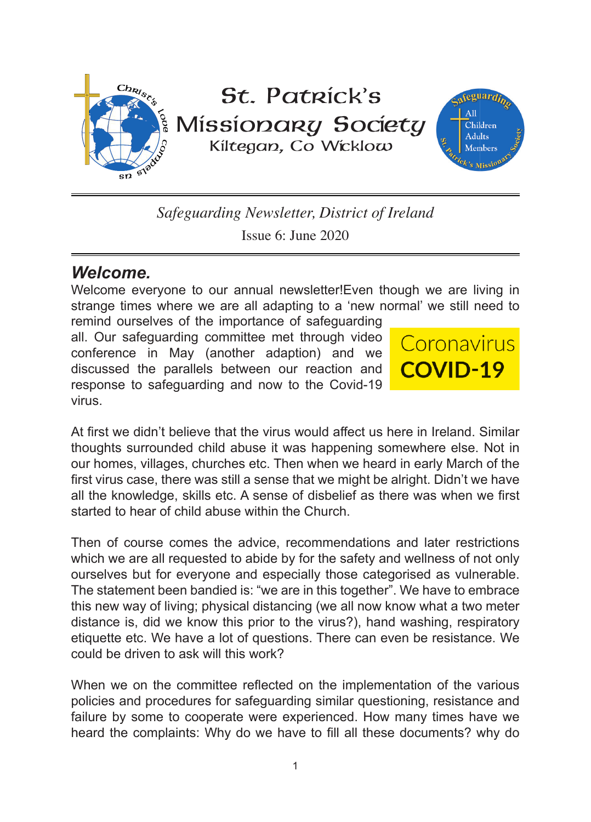

*Safeguarding Newsletter, District of Ireland* Issue 6: June 2020

## *Welcome.*

Welcome everyone to our annual newsletter!Even though we are living in strange times where we are all adapting to a 'new normal' we still need to

remind ourselves of the importance of safeguarding all. Our safeguarding committee met through video conference in May (another adaption) and we discussed the parallels between our reaction and response to safeguarding and now to the Covid-19 virus.



At first we didn't believe that the virus would affect us here in Ireland. Similar thoughts surrounded child abuse it was happening somewhere else. Not in our homes, villages, churches etc. Then when we heard in early March of the first virus case, there was still a sense that we might be alright. Didn't we have all the knowledge, skills etc. A sense of disbelief as there was when we first started to hear of child abuse within the Church.

Then of course comes the advice, recommendations and later restrictions which we are all requested to abide by for the safety and wellness of not only ourselves but for everyone and especially those categorised as vulnerable. The statement been bandied is: "we are in this together". We have to embrace this new way of living; physical distancing (we all now know what a two meter distance is, did we know this prior to the virus?), hand washing, respiratory etiquette etc. We have a lot of questions. There can even be resistance. We could be driven to ask will this work?

When we on the committee reflected on the implementation of the various policies and procedures for safeguarding similar questioning, resistance and failure by some to cooperate were experienced. How many times have we heard the complaints: Why do we have to fill all these documents? why do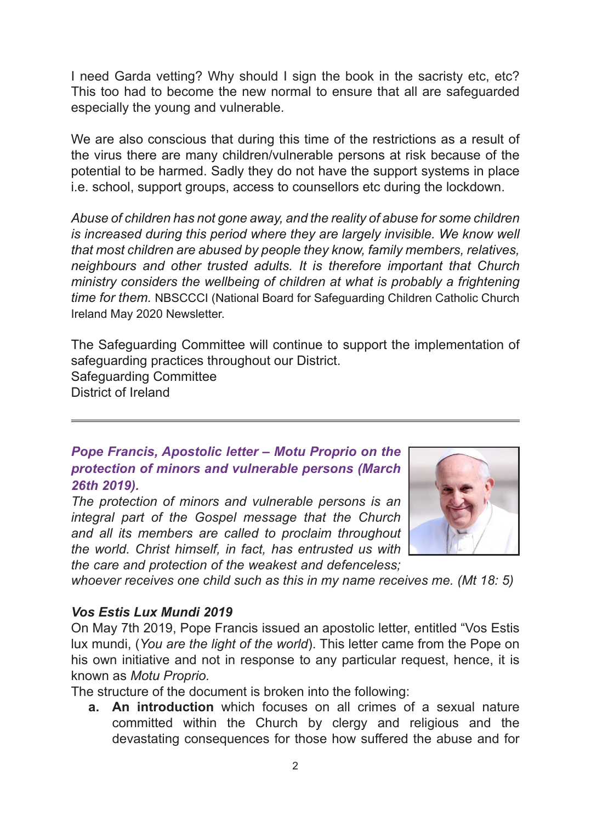I need Garda vetting? Why should I sign the book in the sacristy etc, etc? This too had to become the new normal to ensure that all are safeguarded especially the young and vulnerable.

We are also conscious that during this time of the restrictions as a result of the virus there are many children/vulnerable persons at risk because of the potential to be harmed. Sadly they do not have the support systems in place i.e. school, support groups, access to counsellors etc during the lockdown.

*Abuse of children has not gone away, and the reality of abuse for some children is increased during this period where they are largely invisible. We know well that most children are abused by people they know, family members, relatives, neighbours and other trusted adults. It is therefore important that Church ministry considers the wellbeing of children at what is probably a frightening time for them.* NBSCCCI (National Board for Safeguarding Children Catholic Church Ireland May 2020 Newsletter.

The Safeguarding Committee will continue to support the implementation of safeguarding practices throughout our District. Safeguarding Committee District of Ireland

*Pope Francis, Apostolic letter – Motu Proprio on the protection of minors and vulnerable persons (March 26th 2019).* 

*The protection of minors and vulnerable persons is an integral part of the Gospel message that the Church and all its members are called to proclaim throughout the world. Christ himself, in fact, has entrusted us with the care and protection of the weakest and defenceless;* 



*whoever receives one child such as this in my name receives me. (Mt 18: 5)*

### *Vos Estis Lux Mundi 2019*

On May 7th 2019, Pope Francis issued an apostolic letter, entitled "Vos Estis lux mundi, (*You are the light of the world*). This letter came from the Pope on his own initiative and not in response to any particular request, hence, it is known as *Motu Proprio.*

The structure of the document is broken into the following:

**a. An introduction** which focuses on all crimes of a sexual nature committed within the Church by clergy and religious and the devastating consequences for those how suffered the abuse and for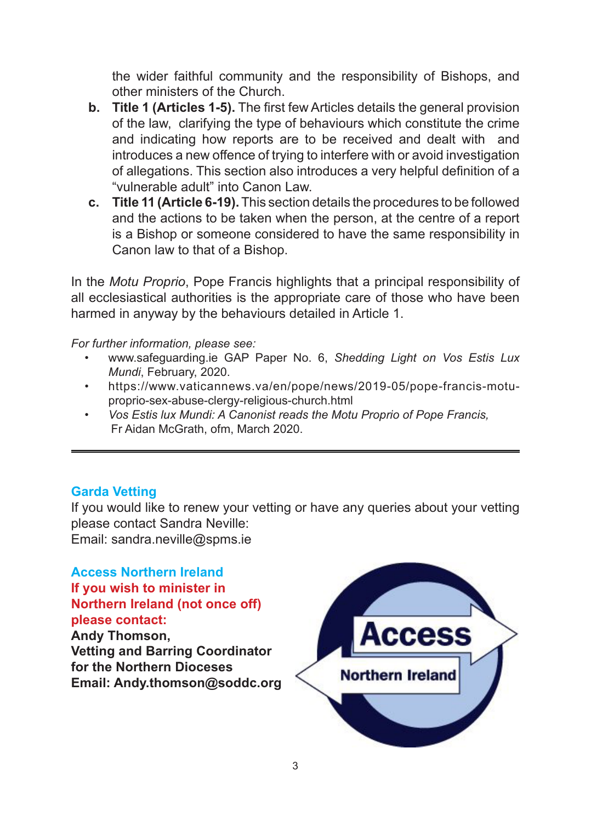the wider faithful community and the responsibility of Bishops, and other ministers of the Church.

- **b. Title 1 (Articles 1-5).** The first few Articles details the general provision of the law, clarifying the type of behaviours which constitute the crime and indicating how reports are to be received and dealt with and introduces a new offence of trying to interfere with or avoid investigation of allegations. This section also introduces a very helpful definition of a "vulnerable adult" into Canon Law.
- **c. Title 11 (Article 6-19).** This section details the procedures to be followed and the actions to be taken when the person, at the centre of a report is a Bishop or someone considered to have the same responsibility in Canon law to that of a Bishop.

In the *Motu Proprio*, Pope Francis highlights that a principal responsibility of all ecclesiastical authorities is the appropriate care of those who have been harmed in anyway by the behaviours detailed in Article 1.

*For further information, please see:*

- www.safeguarding.ie GAP Paper No. 6, *Shedding Light on Vos Estis Lux Mundi*, February, 2020.
- https://www.vaticannews.va/en/pope/news/2019-05/pope-francis-motuproprio-sex-abuse-clergy-religious-church.html
- *• Vos Estis lux Mundi: A Canonist reads the Motu Proprio of Pope Francis,* Fr Aidan McGrath, ofm, March 2020.

### **Garda Vetting**

If you would like to renew your vetting or have any queries about your vetting please contact Sandra Neville:

Email: sandra.neville@spms.ie

**Access Northern Ireland If you wish to minister in Northern Ireland (not once off) please contact: Andy Thomson, Vetting and Barring Coordinator for the Northern Dioceses Email: Andy.thomson@soddc.org**